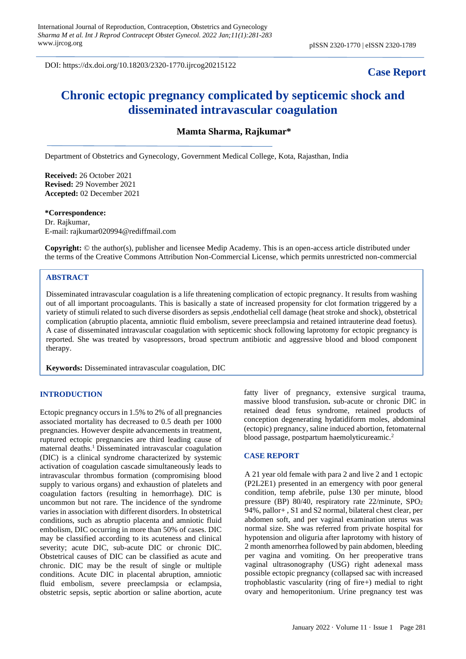DOI: https://dx.doi.org/10.18203/2320-1770.ijrcog20215122

# **Case Report**

# **Chronic ectopic pregnancy complicated by septicemic shock and disseminated intravascular coagulation**

**Mamta Sharma, Rajkumar\***

Department of Obstetrics and Gynecology, Government Medical College, Kota, Rajasthan, India

use, distribution, and reproduction in any medium, provided the original work is properly cited.

**Received:** 26 October 2021 **Revised:** 29 November 2021 **Accepted:** 02 December 2021

**\*Correspondence:** Dr. Rajkumar, E-mail: rajkumar020994@rediffmail.com

**Copyright:** © the author(s), publisher and licensee Medip Academy. This is an open-access article distributed under the terms of the Creative Commons Attribution Non-Commercial License, which permits unrestricted non-commercial

# **ABSTRACT**

Disseminated intravascular coagulation is a life threatening complication of ectopic pregnancy. It results from washing out of all important procoagulants. This is basically a state of increased propensity for clot formation triggered by a variety of stimuli related to such diverse disorders as sepsis ,endothelial cell damage (heat stroke and shock), obstetrical complication (abruptio placenta, amniotic fluid embolism, severe preeclampsia and retained intrauterine dead foetus). A case of disseminated intravascular coagulation with septicemic shock following laprotomy for ectopic pregnancy is reported. She was treated by vasopressors, broad spectrum antibiotic and aggressive blood and blood component therapy.

**Keywords:** Disseminated intravascular coagulation, DIC

#### **INTRODUCTION**

Ectopic pregnancy occurs in 1.5% to 2% of all pregnancies associated mortality has decreased to 0.5 death per 1000 pregnancies. However despite advancements in treatment, ruptured ectopic pregnancies are third leading cause of maternal deaths.<sup>1</sup> Disseminated intravascular coagulation (DIC) is a clinical syndrome characterized by systemic activation of coagulation cascade simultaneously leads to intravascular thrombus formation (compromising blood supply to various organs) and exhaustion of platelets and coagulation factors (resulting in hemorrhage). DIC is uncommon but not rare. The incidence of the syndrome varies in association with different disorders. In obstetrical conditions, such as abruptio placenta and amniotic fluid embolism, DIC occurring in more than 50% of cases. DIC may be classified according to its acuteness and clinical severity; acute DIC, sub-acute DIC or chronic DIC. Obstetrical causes of DIC can be classified as acute and chronic. DIC may be the result of single or multiple conditions. Acute DIC in placental abruption, amniotic fluid embolism, severe preeclampsia or eclampsia, obstetric sepsis, septic abortion or saline abortion, acute fatty liver of pregnancy, extensive surgical trauma, massive blood transfusion**.** sub-acute or chronic DIC in retained dead fetus syndrome, retained products of conception degenerating hydatidiform moles, abdominal (ectopic) pregnancy, saline induced abortion, fetomaternal blood passage, postpartum haemolyticureamic.<sup>2</sup>

#### **CASE REPORT**

A 21 year old female with para 2 and live 2 and 1 ectopic (P2L2E1) presented in an emergency with poor general condition, temp afebrile, pulse 130 per minute, blood pressure (BP) 80/40, respiratory rate 22/minute, SPO<sup>2</sup> 94%, pallor+ , S1 and S2 normal, bilateral chest clear, per abdomen soft, and per vaginal examination uterus was normal size. She was referred from private hospital for hypotension and oliguria after laprotomy with history of 2 month amenorrhea followed by pain abdomen, bleeding per vagina and vomiting. On her preoperative trans vaginal ultrasonography (USG) right adenexal mass possible ectopic pregnancy (collapsed sac with increased trophoblastic vascularity (ring of fire+) medial to right ovary and hemoperitonium. Urine pregnancy test was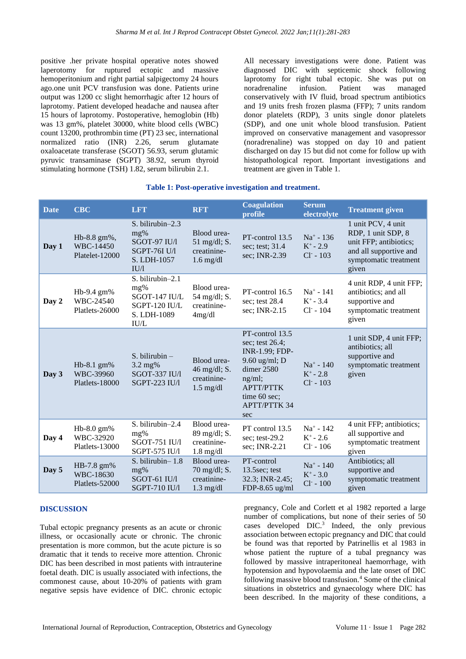positive .her private hospital operative notes showed laperotomy for ruptured ectopic and massive hemoperitonium and right partial salpigectomy 24 hours ago.one unit PCV transfusion was done. Patients urine output was 1200 cc slight hemorrhagic after 12 hours of laprotomy. Patient developed headache and nausea after 15 hours of laprotomy. Postoperative, hemoglobin (Hb) was 13 gm%, platelet 30000, white blood cells (WBC) count 13200, prothrombin time (PT) 23 sec, international normalized ratio (INR) 2.26, serum glutamate oxaloacetate transferase (SGOT) 56.93, serum glutamic pyruvic transaminase (SGPT) 38.92, serum thyroid stimulating hormone (TSH) 1.82, serum bilirubin 2.1.

All necessary investigations were done. Patient was diagnosed DIC with septicemic shock following laprotomy for right tubal ectopic. She was put on noradrenaline infusion. Patient was managed conservatively with IV fluid, broad spectrum antibiotics and 19 units fresh frozen plasma (FFP); 7 units random donor platelets (RDP), 3 units single donor platelets (SDP), and one unit whole blood transfusion. Patient improved on conservative management and vasopressor (noradrenaline) was stopped on day 10 and patient discharged on day 15 but did not come for follow up with histopathological report. Important investigations and treatment are given in Table 1.

# **Table 1: Post-operative investigation and treatment.**

| <b>Date</b> | <b>CBC</b>                                  | <b>LFT</b>                                                                              | <b>RFT</b>                                                           | <b>Coagulation</b><br>profile                                                                                                                                     | <b>Serum</b><br>electrolyte                 | <b>Treatment given</b>                                                                                                         |
|-------------|---------------------------------------------|-----------------------------------------------------------------------------------------|----------------------------------------------------------------------|-------------------------------------------------------------------------------------------------------------------------------------------------------------------|---------------------------------------------|--------------------------------------------------------------------------------------------------------------------------------|
| Day 1       | Hb-8.8 gm%,<br>WBC-14450<br>Platelet-12000  | S. bilirubin-2.3<br>mg%<br>SGOT-97 IU/l<br><b>SGPT-76I U/l</b><br>S. LDH-1057<br>IU/1   | Blood urea-<br>$51 \text{ mg/dl}$ ; S.<br>creatinine-<br>$1.6$ mg/dl | PT-control 13.5<br>sec; test; 31.4<br>sec; INR-2.39                                                                                                               | $Na^+ - 136$<br>$K^+ - 2.9$<br>$Cl^- - 103$ | 1 unit PCV, 4 unit<br>RDP, 1 unit SDP, 8<br>unit FFP; antibiotics;<br>and all supportive and<br>symptomatic treatment<br>given |
| Day 2       | Hb-9.4 gm%<br>WBC-24540<br>Platlets-26000   | S. bilirubin-2.1<br>mg%<br>SGOT-147 IU/L<br>SGPT-120 IU/L<br>S. LDH-1089<br><b>IU/L</b> | Blood urea-<br>54 mg/dl; S.<br>creatinine-<br>4mg/dl                 | PT-control 16.5<br>sec; test $28.4$<br>sec; INR-2.15                                                                                                              | $Na^+ - 141$<br>$K^+ - 3.4$<br>$Cl - 104$   | 4 unit RDP, 4 unit FFP;<br>antibiotics; and all<br>supportive and<br>symptomatic treatment<br>given                            |
| Day 3       | $Hb-8.1$ gm%<br>WBC-39960<br>Platlets-18000 | $S.$ bilirubin $-$<br>3.2 mg%<br>SGOT-337 IU/l<br>SGPT-223 IU/l                         | Blood urea-<br>46 mg/dl; S.<br>creatinine-<br>$1.5 \text{ mg/dl}$    | PT-control 13.5<br>sec; test 26.4;<br>INR-1.99; FDP-<br>$9.60$ ug/ml; D<br>dimer 2580<br>ng/ml;<br><b>APTT/PTTK</b><br>time 60 sec;<br><b>APTT/PTTK 34</b><br>sec | $Na^+ - 140$<br>$K^+$ - 2.8<br>$Cl^- - 103$ | 1 unit SDP, 4 unit FFP;<br>antibiotics; all<br>supportive and<br>symptomatic treatment<br>given                                |
| Day 4       | Hb-8.0 gm%<br>WBC-32920<br>Platlets-13000   | S. bilirubin-2.4<br>mg%<br>SGOT-751 IU/l<br>SGPT-575 IU/l                               | Blood urea-<br>89 mg/dl; S.<br>creatinine-<br>$1.8 \text{ mg/dl}$    | PT control 13.5<br>sec; test-29.2<br>sec; INR-2.21                                                                                                                | $Na^+ - 142$<br>$K^+$ - 2.6<br>$Cl^- - 106$ | 4 unit FFP; antibiotics;<br>all supportive and<br>symptomatic treatment<br>given                                               |
| Day 5       | HB-7.8 gm%<br>WBC-18630<br>Platlets-52000   | S. bilirubin-1.8<br>mg%<br>SGOT-61 IU/l<br><b>SGPT-710 IU/l</b>                         | Blood urea-<br>70 mg/dl; S.<br>creatinine-<br>$1.3$ mg/dl            | PT-control<br>13.5sec; test<br>32.3; INR-2.45;<br>$FDP-8.65$ ug/ml                                                                                                | $Na^+ - 140$<br>$K^+ - 3.0$<br>$Cl^- - 100$ | Antibiotics; all<br>supportive and<br>symptomatic treatment<br>given                                                           |

# **DISCUSSION**

Tubal ectopic pregnancy presents as an acute or chronic illness, or occasionally acute or chronic. The chronic presentation is more common, but the acute picture is so dramatic that it tends to receive more attention. Chronic DIC has been described in most patients with intrauterine foetal death. DIC is usually associated with infections, the commonest cause, about 10-20% of patients with gram negative sepsis have evidence of DIC. chronic ectopic

pregnancy, Cole and Corlett et al 1982 reported a large number of complications, but none of their series of 50 cases developed DIC.<sup>3</sup> Indeed, the only previous association between ectopic pregnancy and DIC that could be found was that reported by Patrinellis et al 1983 in whose patient the rupture of a tubal pregnancy was followed by massive intraperitoneal haemorrhage, with hypotension and hypovolaemia and the late onset of DIC following massive blood transfusion.<sup>4</sup> Some of the clinical situations in obstetrics and gynaecology where DIC has been described. In the majority of these conditions, a